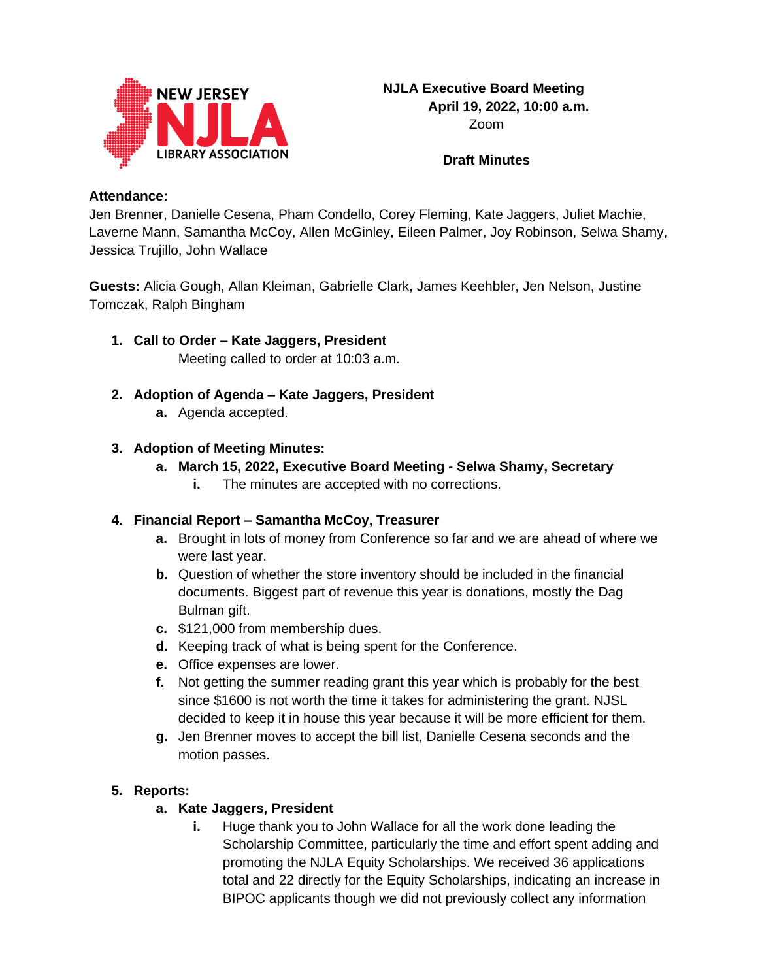

**Draft Minutes**

#### **Attendance:**

Jen Brenner, Danielle Cesena, Pham Condello, Corey Fleming, Kate Jaggers, Juliet Machie, Laverne Mann, Samantha McCoy, Allen McGinley, Eileen Palmer, Joy Robinson, Selwa Shamy, Jessica Trujillo, John Wallace

**Guests:** Alicia Gough, Allan Kleiman, Gabrielle Clark, James Keehbler, Jen Nelson, Justine Tomczak, Ralph Bingham

- **1. Call to Order – Kate Jaggers, President** Meeting called to order at 10:03 a.m.
- **2. Adoption of Agenda – Kate Jaggers, President**
	- **a.** Agenda accepted.

## **3. Adoption of Meeting Minutes:**

- **a. March 15, 2022, Executive Board Meeting - Selwa Shamy, Secretary**
	- **i.** The minutes are accepted with no corrections.

### **4. Financial Report – Samantha McCoy, Treasurer**

- **a.** Brought in lots of money from Conference so far and we are ahead of where we were last year.
- **b.** Question of whether the store inventory should be included in the financial documents. Biggest part of revenue this year is donations, mostly the Dag Bulman gift.
- **c.** \$121,000 from membership dues.
- **d.** Keeping track of what is being spent for the Conference.
- **e.** Office expenses are lower.
- **f.** Not getting the summer reading grant this year which is probably for the best since \$1600 is not worth the time it takes for administering the grant. NJSL decided to keep it in house this year because it will be more efficient for them.
- **g.** Jen Brenner moves to accept the bill list, Danielle Cesena seconds and the motion passes.

## **5. Reports:**

### **a. Kate Jaggers, President**

**i.** Huge thank you to John Wallace for all the work done leading the Scholarship Committee, particularly the time and effort spent adding and promoting the NJLA Equity Scholarships. We received 36 applications total and 22 directly for the Equity Scholarships, indicating an increase in BIPOC applicants though we did not previously collect any information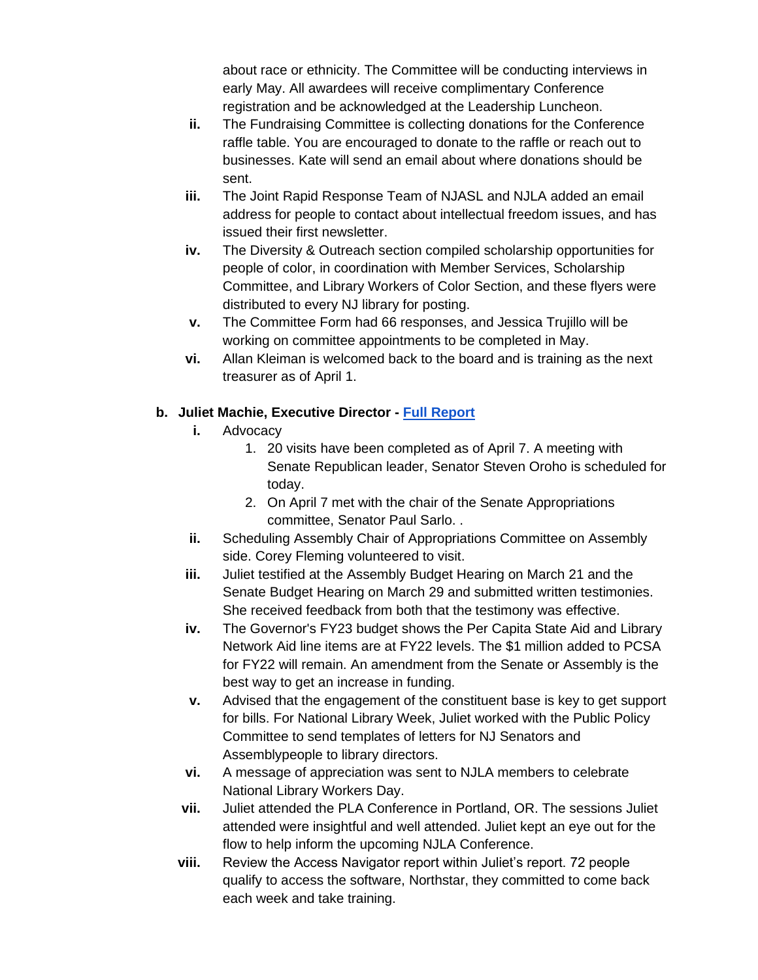about race or ethnicity. The Committee will be conducting interviews in early May. All awardees will receive complimentary Conference registration and be acknowledged at the Leadership Luncheon.

- **ii.** The Fundraising Committee is collecting donations for the Conference raffle table. You are encouraged to donate to the raffle or reach out to businesses. Kate will send an email about where donations should be sent.
- **iii.** The Joint Rapid Response Team of NJASL and NJLA added an email address for people to contact about intellectual freedom issues, and has issued their first newsletter.
- **iv.** The Diversity & Outreach section compiled scholarship opportunities for people of color, in coordination with Member Services, Scholarship Committee, and Library Workers of Color Section, and these flyers were distributed to every NJ library for posting.
- **v.** The Committee Form had 66 responses, and Jessica Trujillo will be working on committee appointments to be completed in May.
- **vi.** Allan Kleiman is welcomed back to the board and is training as the next treasurer as of April 1.

## **b. Juliet Machie, Executive Director - [Full Report](https://njla.memberclicks.net/assets/Exec_Board_Minutes_Docs/Board_Docs_2021-22/Exec%20Dir%20Report%20April%202022.pdf)**

- **i.** Advocacy
	- 1. 20 visits have been completed as of April 7. A meeting with Senate Republican leader, Senator Steven Oroho is scheduled for today.
	- 2. On April 7 met with the chair of the Senate Appropriations committee, Senator Paul Sarlo. .
- **ii.** Scheduling Assembly Chair of Appropriations Committee on Assembly side. Corey Fleming volunteered to visit.
- **iii.** Juliet testified at the Assembly Budget Hearing on March 21 and the Senate Budget Hearing on March 29 and submitted written testimonies. She received feedback from both that the testimony was effective.
- **iv.** The Governor's FY23 budget shows the Per Capita State Aid and Library Network Aid line items are at FY22 levels. The \$1 million added to PCSA for FY22 will remain. An amendment from the Senate or Assembly is the best way to get an increase in funding.
- **v.** Advised that the engagement of the constituent base is key to get support for bills. For National Library Week, Juliet worked with the Public Policy Committee to send templates of letters for NJ Senators and Assemblypeople to library directors.
- **vi.** A message of appreciation was sent to NJLA members to celebrate National Library Workers Day.
- **vii.** Juliet attended the PLA Conference in Portland, OR. The sessions Juliet attended were insightful and well attended. Juliet kept an eye out for the flow to help inform the upcoming NJLA Conference.
- **viii.** Review the Access Navigator report within Juliet's report. 72 people qualify to access the software, Northstar, they committed to come back each week and take training.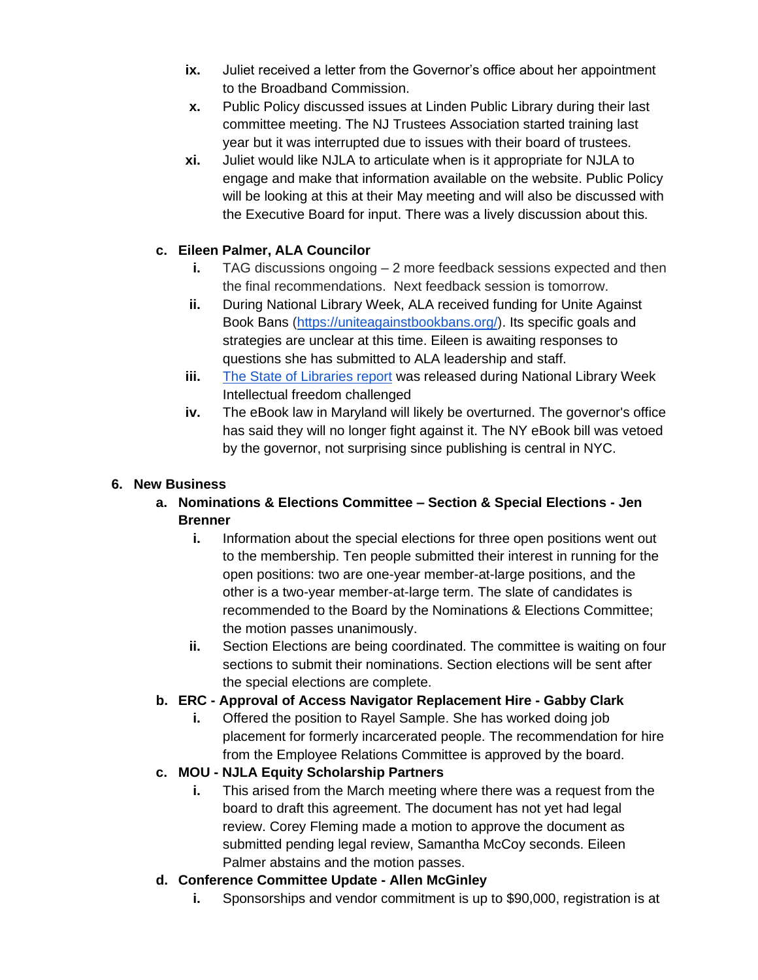- **ix.** Juliet received a letter from the Governor's office about her appointment to the Broadband Commission.
- **x.** Public Policy discussed issues at Linden Public Library during their last committee meeting. The NJ Trustees Association started training last year but it was interrupted due to issues with their board of trustees.
- **xi.** Juliet would like NJLA to articulate when is it appropriate for NJLA to engage and make that information available on the website. Public Policy will be looking at this at their May meeting and will also be discussed with the Executive Board for input. There was a lively discussion about this.

## **c. Eileen Palmer, ALA Councilor**

- **i.** TAG discussions ongoing 2 more feedback sessions expected and then the final recommendations. Next feedback session is tomorrow.
- **ii.** During National Library Week, ALA received funding for Unite Against Book Bans [\(https://uniteagainstbookbans.org/\)](https://uniteagainstbookbans.org/). Its specific goals and strategies are unclear at this time. Eileen is awaiting responses to questions she has submitted to ALA leadership and staff.
- **iii.** [The State of Libraries report](https://www.ala.org/news/state-americas-libraries-report-2022) was released during National Library Week Intellectual freedom challenged
- **iv.** The eBook law in Maryland will likely be overturned. The governor's office has said they will no longer fight against it. The NY eBook bill was vetoed by the governor, not surprising since publishing is central in NYC.

#### **6. New Business**

- **a. Nominations & Elections Committee – Section & Special Elections - Jen Brenner**
	- **i.** Information about the special elections for three open positions went out to the membership. Ten people submitted their interest in running for the open positions: two are one-year member-at-large positions, and the other is a two-year member-at-large term. The slate of candidates is recommended to the Board by the Nominations & Elections Committee; the motion passes unanimously.
	- **ii.** Section Elections are being coordinated. The committee is waiting on four sections to submit their nominations. Section elections will be sent after the special elections are complete.

### **b. ERC - Approval of Access Navigator Replacement Hire - Gabby Clark**

**i.** Offered the position to Rayel Sample. She has worked doing job placement for formerly incarcerated people. The recommendation for hire from the Employee Relations Committee is approved by the board.

### **c. MOU - NJLA Equity Scholarship Partners**

- **i.** This arised from the March meeting where there was a request from the board to draft this agreement. The document has not yet had legal review. Corey Fleming made a motion to approve the document as submitted pending legal review, Samantha McCoy seconds. Eileen Palmer abstains and the motion passes.
- **d. Conference Committee Update - Allen McGinley**
	- **i.** Sponsorships and vendor commitment is up to \$90,000, registration is at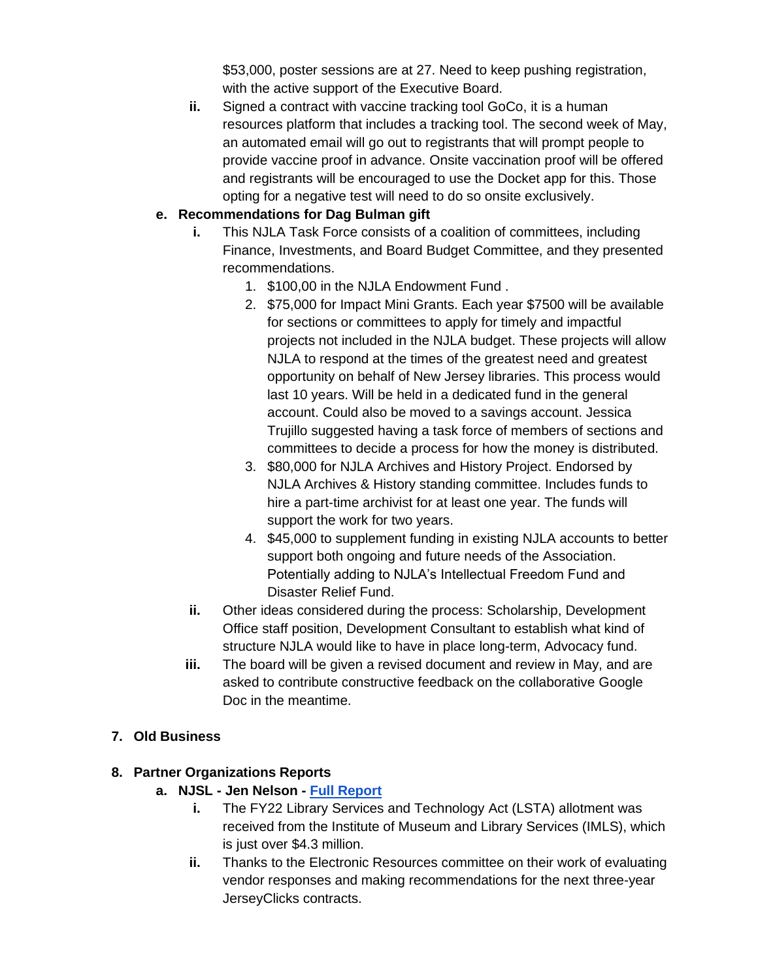\$53,000, poster sessions are at 27. Need to keep pushing registration, with the active support of the Executive Board.

**ii.** Signed a contract with vaccine tracking tool GoCo, it is a human resources platform that includes a tracking tool. The second week of May, an automated email will go out to registrants that will prompt people to provide vaccine proof in advance. Onsite vaccination proof will be offered and registrants will be encouraged to use the Docket app for this. Those opting for a negative test will need to do so onsite exclusively.

## **e. Recommendations for Dag Bulman gift**

- **i.** This NJLA Task Force consists of a coalition of committees, including Finance, Investments, and Board Budget Committee, and they presented recommendations.
	- 1. \$100,00 in the NJLA Endowment Fund .
	- 2. \$75,000 for Impact Mini Grants. Each year \$7500 will be available for sections or committees to apply for timely and impactful projects not included in the NJLA budget. These projects will allow NJLA to respond at the times of the greatest need and greatest opportunity on behalf of New Jersey libraries. This process would last 10 years. Will be held in a dedicated fund in the general account. Could also be moved to a savings account. Jessica Trujillo suggested having a task force of members of sections and committees to decide a process for how the money is distributed.
	- 3. \$80,000 for NJLA Archives and History Project. Endorsed by NJLA Archives & History standing committee. Includes funds to hire a part-time archivist for at least one year. The funds will support the work for two years.
	- 4. \$45,000 to supplement funding in existing NJLA accounts to better support both ongoing and future needs of the Association. Potentially adding to NJLA's Intellectual Freedom Fund and Disaster Relief Fund.
- **ii.** Other ideas considered during the process: Scholarship, Development Office staff position, Development Consultant to establish what kind of structure NJLA would like to have in place long-term, Advocacy fund.
- **iii.** The board will be given a revised document and review in May, and are asked to contribute constructive feedback on the collaborative Google Doc in the meantime.

### **7. Old Business**

### **8. Partner Organizations Reports**

- **a. NJSL - Jen Nelson - [Full Report](https://njla.memberclicks.net/assets/Exec_Board_Minutes_Docs/Board_Docs_2021-22/NJSL%20Report%20April%202022.pdf)**
	- **i.** The FY22 Library Services and Technology Act (LSTA) allotment was received from the Institute of Museum and Library Services (IMLS), which is just over \$4.3 million.
	- **ii.** Thanks to the Electronic Resources committee on their work of evaluating vendor responses and making recommendations for the next three-year JerseyClicks contracts.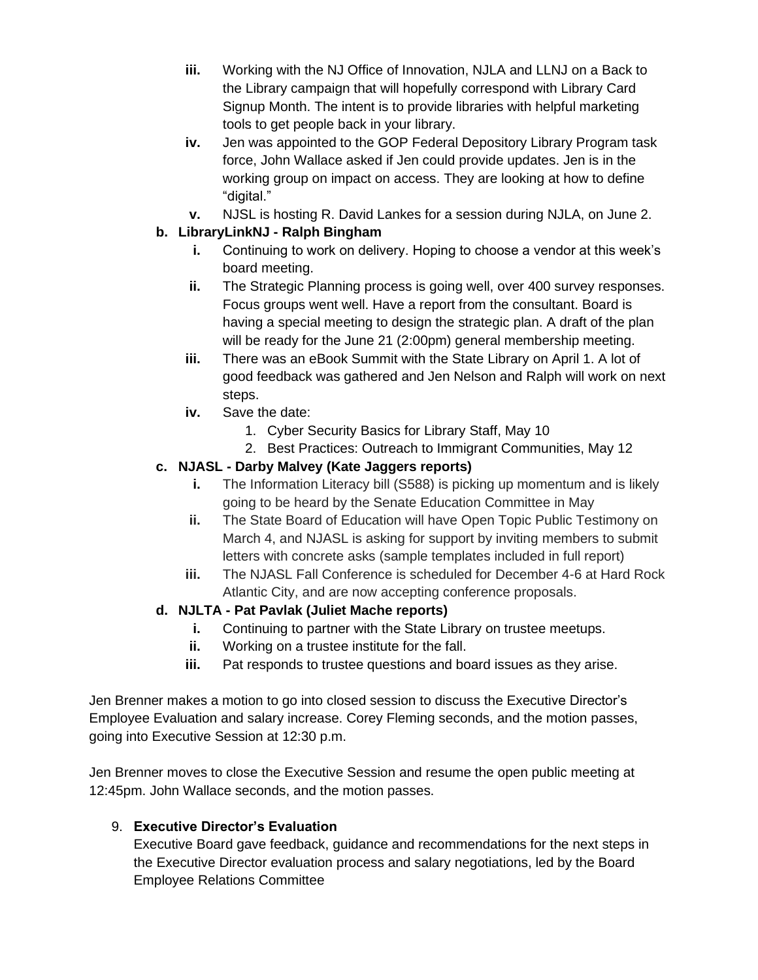- **iii.** Working with the NJ Office of Innovation, NJLA and LLNJ on a Back to the Library campaign that will hopefully correspond with Library Card Signup Month. The intent is to provide libraries with helpful marketing tools to get people back in your library.
- **iv.** Jen was appointed to the GOP Federal Depository Library Program task force, John Wallace asked if Jen could provide updates. Jen is in the working group on impact on access. They are looking at how to define "digital."
- **v.** NJSL is hosting R. David Lankes for a session during NJLA, on June 2.

## **b. LibraryLinkNJ - Ralph Bingham**

- **i.** Continuing to work on delivery. Hoping to choose a vendor at this week's board meeting.
- **ii.** The Strategic Planning process is going well, over 400 survey responses. Focus groups went well. Have a report from the consultant. Board is having a special meeting to design the strategic plan. A draft of the plan will be ready for the June 21 (2:00pm) general membership meeting.
- **iii.** There was an eBook Summit with the State Library on April 1. A lot of good feedback was gathered and Jen Nelson and Ralph will work on next steps.
- **iv.** Save the date:
	- 1. Cyber Security Basics for Library Staff, May 10
	- 2. Best Practices: Outreach to Immigrant Communities, May 12

## **c. NJASL - Darby Malvey (Kate Jaggers reports)**

- **i.** The Information Literacy bill (S588) is picking up momentum and is likely going to be heard by the Senate Education Committee in May
- **ii.** The State Board of Education will have Open Topic Public Testimony on March 4, and NJASL is asking for support by inviting members to submit letters with concrete asks (sample templates included in full report)
- **iii.** The NJASL Fall Conference is scheduled for December 4-6 at Hard Rock Atlantic City, and are now accepting conference proposals.

# **d. NJLTA - Pat Pavlak (Juliet Mache reports)**

- **i.** Continuing to partner with the State Library on trustee meetups.
- **ii.** Working on a trustee institute for the fall.
- **iii.** Pat responds to trustee questions and board issues as they arise.

Jen Brenner makes a motion to go into closed session to discuss the Executive Director's Employee Evaluation and salary increase. Corey Fleming seconds, and the motion passes, going into Executive Session at 12:30 p.m.

Jen Brenner moves to close the Executive Session and resume the open public meeting at 12:45pm. John Wallace seconds, and the motion passes.

# 9. **Executive Director's Evaluation**

Executive Board gave feedback, guidance and recommendations for the next steps in the Executive Director evaluation process and salary negotiations, led by the Board Employee Relations Committee